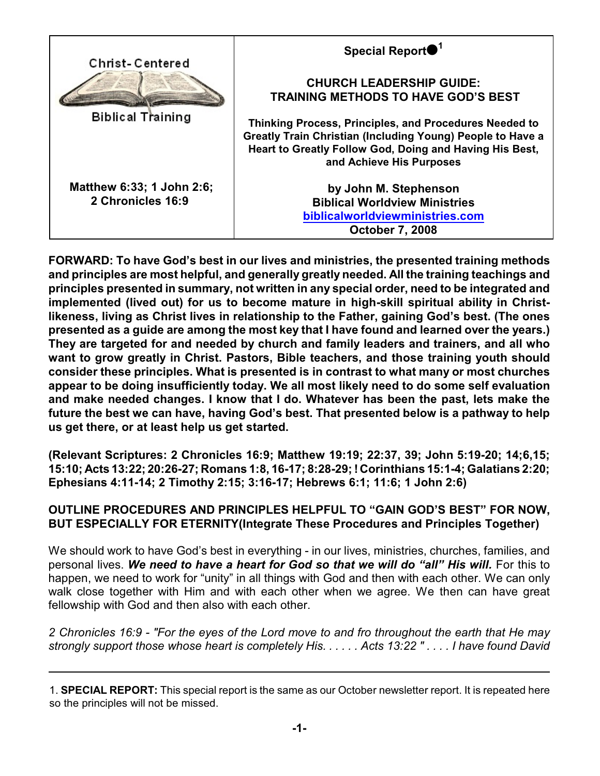| <b>Christ-Centered</b>                         | Special Report <sup>1</sup>                                                                                                                                                                                               |
|------------------------------------------------|---------------------------------------------------------------------------------------------------------------------------------------------------------------------------------------------------------------------------|
|                                                | <b>CHURCH LEADERSHIP GUIDE:</b><br><b>TRAINING METHODS TO HAVE GOD'S BEST</b>                                                                                                                                             |
| <b>Biblical Training</b>                       | <b>Thinking Process, Principles, and Procedures Needed to</b><br><b>Greatly Train Christian (Including Young) People to Have a</b><br>Heart to Greatly Follow God, Doing and Having His Best,<br>and Achieve His Purposes |
| Matthew 6:33; 1 John 2:6;<br>2 Chronicles 16:9 | by John M. Stephenson<br><b>Biblical Worldview Ministries</b><br>biblicalworldviewministries.com<br><b>October 7, 2008</b>                                                                                                |

**FORWARD: To have God's best in our lives and ministries, the presented training methods and principles are most helpful, and generally greatly needed. All the training teachings and principles presented in summary, not written in any special order, need to be integrated and implemented (lived out) for us to become mature in high-skill spiritual ability in Christlikeness, living as Christ lives in relationship to the Father, gaining God's best. (The ones presented as a guide are among the most key that I have found and learned over the years.) They are targeted for and needed by church and family leaders and trainers, and all who want to grow greatly in Christ. Pastors, Bible teachers, and those training youth should consider these principles. What is presented is in contrast to what many or most churches appear to be doing insufficiently today. We all most likely need to do some self evaluation and make needed changes. I know that I do. Whatever has been the past, lets make the future the best we can have, having God's best. That presented below is a pathway to help us get there, or at least help us get started.** 

**(Relevant Scriptures: 2 Chronicles 16:9; Matthew 19:19; 22:37, 39; John 5:19-20; 14;6,15; 15:10; Acts 13:22; 20:26-27; Romans 1:8, 16-17; 8:28-29; ! Corinthians 15:1-4; Galatians 2:20; Ephesians 4:11-14; 2 Timothy 2:15; 3:16-17; Hebrews 6:1; 11:6; 1 John 2:6)**

# **OUTLINE PROCEDURES AND PRINCIPLES HELPFUL TO "GAIN GOD'S BEST" FOR NOW, BUT ESPECIALLY FOR ETERNITY(Integrate These Procedures and Principles Together)**

We should work to have God's best in everything - in our lives, ministries, churches, families, and personal lives. *We need to have a heart for God so that we will do "all" His will.* For this to happen, we need to work for "unity" in all things with God and then with each other. We can only walk close together with Him and with each other when we agree. We then can have great fellowship with God and then also with each other.

*2 Chronicles 16:9 - "For the eyes of the Lord move to and fro throughout the earth that He may strongly support those whose heart is completely His. . . . . . Acts 13:22 " . . . . I have found David*

<sup>1.</sup> **SPECIAL REPORT:** This special report is the same as our October newsletter report. It is repeated here so the principles will not be missed.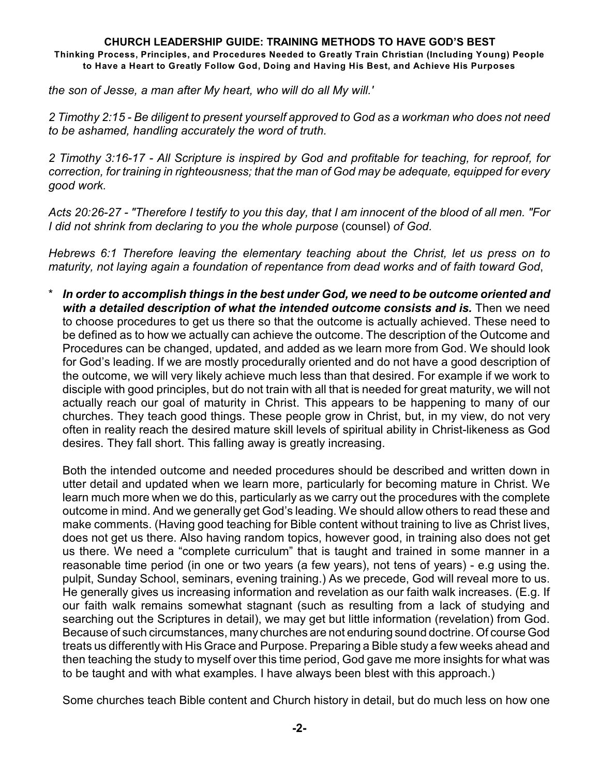*the son of Jesse, a man after My heart, who will do all My will.'*

*2 Timothy 2:15 - Be diligent to present yourself approved to God as a workman who does not need to be ashamed, handling accurately the word of truth.*

*2 Timothy 3:16-17 - All Scripture is inspired by God and profitable for teaching, for reproof, for correction, for training in righteousness; that the man of God may be adequate, equipped for every good work.*

*Acts 20:26-27 - "Therefore I testify to you this day, that I am innocent of the blood of all men. "For I did not shrink from declaring to you the whole purpose* (counsel) *of God.*

*Hebrews 6:1 Therefore leaving the elementary teaching about the Christ, let us press on to maturity, not laying again a foundation of repentance from dead works and of faith toward God*,

\* *In order to accomplish things in the best under God, we need to be outcome oriented and* with a detailed description of what the intended outcome consists and is. Then we need to choose procedures to get us there so that the outcome is actually achieved. These need to be defined as to how we actually can achieve the outcome. The description of the Outcome and Procedures can be changed, updated, and added as we learn more from God. We should look for God's leading. If we are mostly procedurally oriented and do not have a good description of the outcome, we will very likely achieve much less than that desired. For example if we work to disciple with good principles, but do not train with all that is needed for great maturity, we will not actually reach our goal of maturity in Christ. This appears to be happening to many of our churches. They teach good things. These people grow in Christ, but, in my view, do not very often in reality reach the desired mature skill levels of spiritual ability in Christ-likeness as God desires. They fall short. This falling away is greatly increasing.

Both the intended outcome and needed procedures should be described and written down in utter detail and updated when we learn more, particularly for becoming mature in Christ. We learn much more when we do this, particularly as we carry out the procedures with the complete outcome in mind. And we generally get God's leading. We should allow others to read these and make comments. (Having good teaching for Bible content without training to live as Christ lives, does not get us there. Also having random topics, however good, in training also does not get us there. We need a "complete curriculum" that is taught and trained in some manner in a reasonable time period (in one or two years (a few years), not tens of years) - e.g using the. pulpit, Sunday School, seminars, evening training.) As we precede, God will reveal more to us. He generally gives us increasing information and revelation as our faith walk increases. (E.g. If our faith walk remains somewhat stagnant (such as resulting from a lack of studying and searching out the Scriptures in detail), we may get but little information (revelation) from God. Because of such circumstances, many churches are not enduring sound doctrine. Of course God treats us differently with His Grace and Purpose. Preparing a Bible study a few weeks ahead and then teaching the study to myself over this time period, God gave me more insights for what was to be taught and with what examples. I have always been blest with this approach.)

Some churches teach Bible content and Church history in detail, but do much less on how one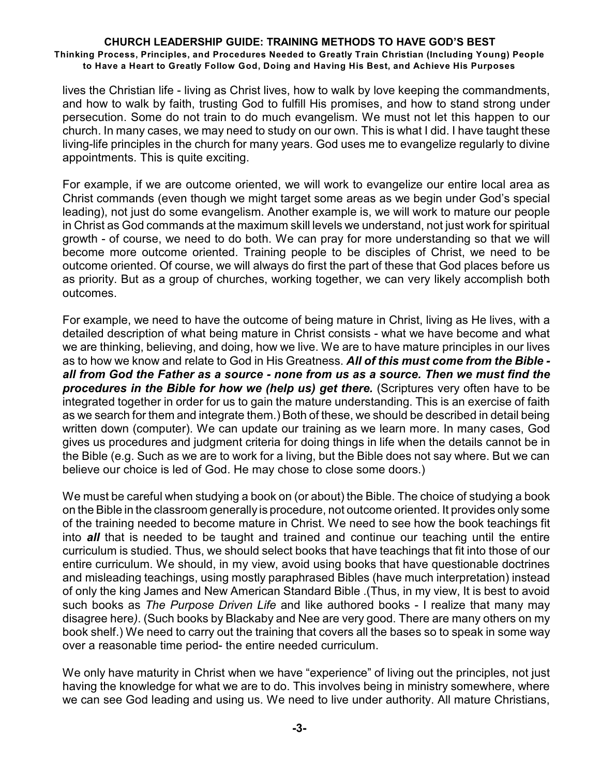lives the Christian life - living as Christ lives, how to walk by love keeping the commandments, and how to walk by faith, trusting God to fulfill His promises, and how to stand strong under persecution. Some do not train to do much evangelism. We must not let this happen to our church. In many cases, we may need to study on our own. This is what I did. I have taught these living-life principles in the church for many years. God uses me to evangelize regularly to divine appointments. This is quite exciting.

For example, if we are outcome oriented, we will work to evangelize our entire local area as Christ commands (even though we might target some areas as we begin under God's special leading), not just do some evangelism. Another example is, we will work to mature our people in Christ as God commands at the maximum skill levels we understand, not just work for spiritual growth - of course, we need to do both. We can pray for more understanding so that we will become more outcome oriented. Training people to be disciples of Christ, we need to be outcome oriented. Of course, we will always do first the part of these that God places before us as priority. But as a group of churches, working together, we can very likely accomplish both outcomes.

For example, we need to have the outcome of being mature in Christ, living as He lives, with a detailed description of what being mature in Christ consists - what we have become and what we are thinking, believing, and doing, how we live. We are to have mature principles in our lives as to how we know and relate to God in His Greatness. *All of this must come from the Bible all from God the Father as a source - none from us as a source. Then we must find the* **procedures in the Bible for how we (help us) get there.** (Scriptures very often have to be integrated together in order for us to gain the mature understanding. This is an exercise of faith as we search for them and integrate them.) Both of these, we should be described in detail being written down (computer). We can update our training as we learn more. In many cases, God gives us procedures and judgment criteria for doing things in life when the details cannot be in the Bible (e.g. Such as we are to work for a living, but the Bible does not say where. But we can believe our choice is led of God. He may chose to close some doors.)

We must be careful when studying a book on (or about) the Bible. The choice of studying a book on the Bible in the classroom generally is procedure, not outcome oriented. It provides only some of the training needed to become mature in Christ. We need to see how the book teachings fit into *all* that is needed to be taught and trained and continue our teaching until the entire curriculum is studied. Thus, we should select books that have teachings that fit into those of our entire curriculum. We should, in my view, avoid using books that have questionable doctrines and misleading teachings, using mostly paraphrased Bibles (have much interpretation) instead of only the king James and New American Standard Bible .(Thus, in my view, It is best to avoid such books as *The Purpose Driven Life* and like authored books - I realize that many may disagree here*)*. (Such books by Blackaby and Nee are very good. There are many others on my book shelf.) We need to carry out the training that covers all the bases so to speak in some way over a reasonable time period- the entire needed curriculum.

We only have maturity in Christ when we have "experience" of living out the principles, not just having the knowledge for what we are to do. This involves being in ministry somewhere, where we can see God leading and using us. We need to live under authority. All mature Christians,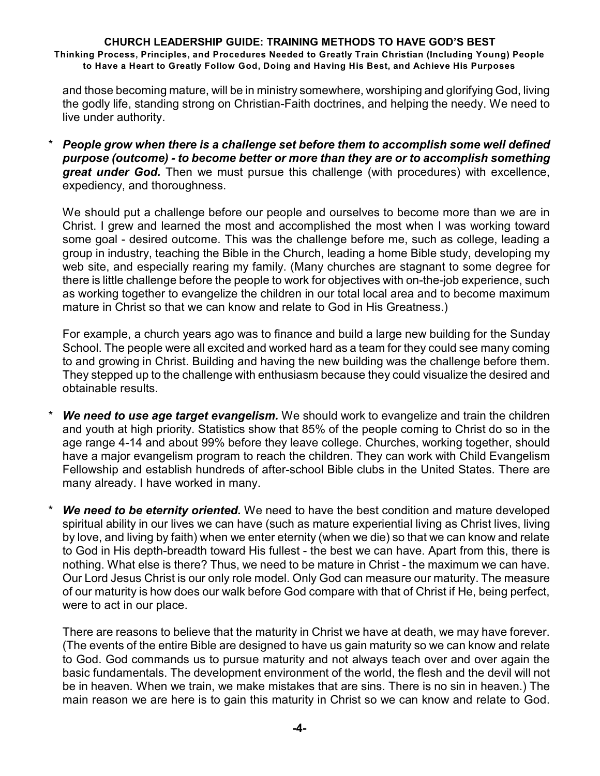and those becoming mature, will be in ministry somewhere, worshiping and glorifying God, living the godly life, standing strong on Christian-Faith doctrines, and helping the needy. We need to live under authority.

\* *People grow when there is a challenge set before them to accomplish some well defined purpose (outcome) - to become better or more than they are or to accomplish something great under God.* Then we must pursue this challenge (with procedures) with excellence, expediency, and thoroughness.

We should put a challenge before our people and ourselves to become more than we are in Christ. I grew and learned the most and accomplished the most when I was working toward some goal - desired outcome. This was the challenge before me, such as college, leading a group in industry, teaching the Bible in the Church, leading a home Bible study, developing my web site, and especially rearing my family. (Many churches are stagnant to some degree for there is little challenge before the people to work for objectives with on-the-job experience, such as working together to evangelize the children in our total local area and to become maximum mature in Christ so that we can know and relate to God in His Greatness.)

For example, a church years ago was to finance and build a large new building for the Sunday School. The people were all excited and worked hard as a team for they could see many coming to and growing in Christ. Building and having the new building was the challenge before them. They stepped up to the challenge with enthusiasm because they could visualize the desired and obtainable results.

- **We need to use age target evangelism.** We should work to evangelize and train the children and youth at high priority. Statistics show that 85% of the people coming to Christ do so in the age range 4-14 and about 99% before they leave college. Churches, working together, should have a major evangelism program to reach the children. They can work with Child Evangelism Fellowship and establish hundreds of after-school Bible clubs in the United States. There are many already. I have worked in many.
- *We need to be eternity oriented.* We need to have the best condition and mature developed spiritual ability in our lives we can have (such as mature experiential living as Christ lives, living by love, and living by faith) when we enter eternity (when we die) so that we can know and relate to God in His depth-breadth toward His fullest - the best we can have. Apart from this, there is nothing. What else is there? Thus, we need to be mature in Christ - the maximum we can have. Our Lord Jesus Christ is our only role model. Only God can measure our maturity. The measure of our maturity is how does our walk before God compare with that of Christ if He, being perfect, were to act in our place.

There are reasons to believe that the maturity in Christ we have at death, we may have forever. (The events of the entire Bible are designed to have us gain maturity so we can know and relate to God. God commands us to pursue maturity and not always teach over and over again the basic fundamentals. The development environment of the world, the flesh and the devil will not be in heaven. When we train, we make mistakes that are sins. There is no sin in heaven.) The main reason we are here is to gain this maturity in Christ so we can know and relate to God.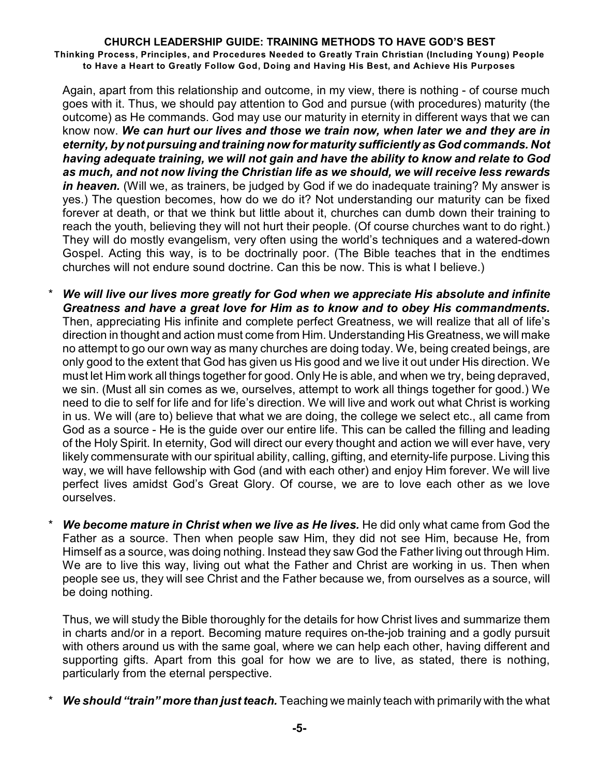Again, apart from this relationship and outcome, in my view, there is nothing - of course much goes with it. Thus, we should pay attention to God and pursue (with procedures) maturity (the outcome) as He commands. God may use our maturity in eternity in different ways that we can know now. *We can hurt our lives and those we train now, when later we and they are in eternity, by not pursuing and training now for maturity sufficiently as God commands. Not having adequate training, we will not gain and have the ability to know and relate to God as much, and not now living the Christian life as we should, we will receive less rewards in heaven.* (Will we, as trainers, be judged by God if we do inadequate training? My answer is yes.) The question becomes, how do we do it? Not understanding our maturity can be fixed forever at death, or that we think but little about it, churches can dumb down their training to reach the youth, believing they will not hurt their people. (Of course churches want to do right.) They will do mostly evangelism, very often using the world's techniques and a watered-down Gospel. Acting this way, is to be doctrinally poor. (The Bible teaches that in the endtimes churches will not endure sound doctrine. Can this be now. This is what I believe.)

- We will live our lives more greatly for God when we appreciate His absolute and infinite *Greatness and have a great love for Him as to know and to obey His commandments.* Then, appreciating His infinite and complete perfect Greatness, we will realize that all of life's direction in thought and action must come from Him. Understanding His Greatness, we will make no attempt to go our own way as many churches are doing today. We, being created beings, are only good to the extent that God has given us His good and we live it out under His direction. We must let Him work all things together for good. Only He is able, and when we try, being depraved, we sin. (Must all sin comes as we, ourselves, attempt to work all things together for good.) We need to die to self for life and for life's direction. We will live and work out what Christ is working in us. We will (are to) believe that what we are doing, the college we select etc., all came from God as a source - He is the guide over our entire life. This can be called the filling and leading of the Holy Spirit. In eternity, God will direct our every thought and action we will ever have, very likely commensurate with our spiritual ability, calling, gifting, and eternity-life purpose. Living this way, we will have fellowship with God (and with each other) and enjoy Him forever. We will live perfect lives amidst God's Great Glory. Of course, we are to love each other as we love ourselves.
- *We become mature in Christ when we live as He lives.* **He did only what came from God the** Father as a source. Then when people saw Him, they did not see Him, because He, from Himself as a source, was doing nothing. Instead they saw God the Father living out through Him. We are to live this way, living out what the Father and Christ are working in us. Then when people see us, they will see Christ and the Father because we, from ourselves as a source, will be doing nothing.

Thus, we will study the Bible thoroughly for the details for how Christ lives and summarize them in charts and/or in a report. Becoming mature requires on-the-job training and a godly pursuit with others around us with the same goal, where we can help each other, having different and supporting gifts. Apart from this goal for how we are to live, as stated, there is nothing, particularly from the eternal perspective.

**We should "train" more than just teach.** Teaching we mainly teach with primarily with the what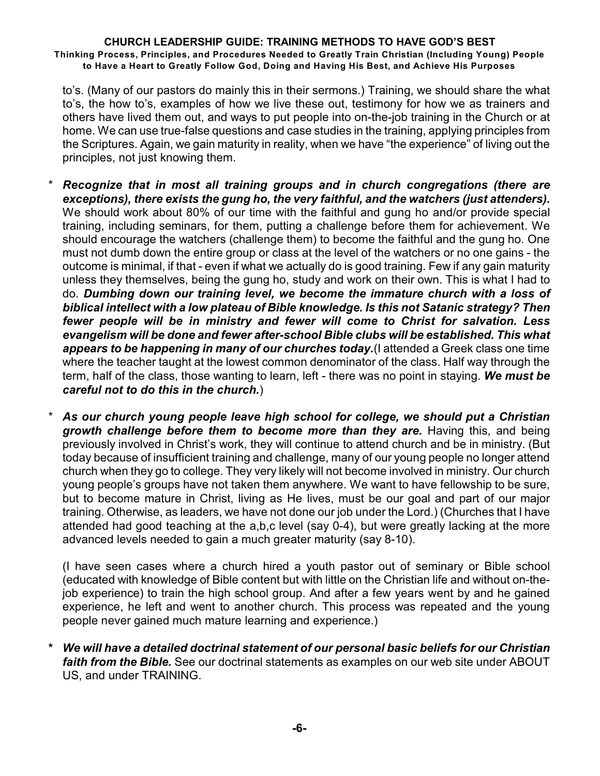to's. (Many of our pastors do mainly this in their sermons.) Training, we should share the what to's, the how to's, examples of how we live these out, testimony for how we as trainers and others have lived them out, and ways to put people into on-the-job training in the Church or at home. We can use true-false questions and case studies in the training, applying principles from the Scriptures. Again, we gain maturity in reality, when we have "the experience" of living out the principles, not just knowing them.

- \* *Recognize that in most all training groups and in church congregations (there are exceptions), there exists the gung ho, the very faithful, and the watchers (just attenders).* We should work about 80% of our time with the faithful and gung ho and/or provide special training, including seminars, for them, putting a challenge before them for achievement. We should encourage the watchers (challenge them) to become the faithful and the gung ho. One must not dumb down the entire group or class at the level of the watchers or no one gains - the outcome is minimal, if that - even if what we actually do is good training. Few if any gain maturity unless they themselves, being the gung ho, study and work on their own. This is what I had to do. *Dumbing down our training level, we become the immature church with a loss of biblical intellect with a low plateau of Bible knowledge. Is this not Satanic strategy? Then fewer people will be in ministry and fewer will come to Christ for salvation. Less evangelism will be done and fewer after-school Bible clubs will be established. This what appears to be happening in many of our churches today.*(I attended a Greek class one time where the teacher taught at the lowest common denominator of the class. Half way through the term, half of the class, those wanting to learn, left - there was no point in staying. *We must be careful not to do this in the church.*)
- \* *As our church young people leave high school for college, we should put a Christian growth challenge before them to become more than they are.* Having this, and being previously involved in Christ's work, they will continue to attend church and be in ministry. (But today because of insufficient training and challenge, many of our young people no longer attend church when they go to college. They very likely will not become involved in ministry. Our church young people's groups have not taken them anywhere. We want to have fellowship to be sure, but to become mature in Christ, living as He lives, must be our goal and part of our major training. Otherwise, as leaders, we have not done our job under the Lord.) (Churches that I have attended had good teaching at the a,b,c level (say 0-4), but were greatly lacking at the more advanced levels needed to gain a much greater maturity (say 8-10).

(I have seen cases where a church hired a youth pastor out of seminary or Bible school (educated with knowledge of Bible content but with little on the Christian life and without on-thejob experience) to train the high school group. And after a few years went by and he gained experience, he left and went to another church. This process was repeated and the young people never gained much mature learning and experience.)

**\*** *We will have a detailed doctrinal statement of our personal basic beliefs for our Christian faith from the Bible.* See our doctrinal statements as examples on our web site under ABOUT US, and under TRAINING.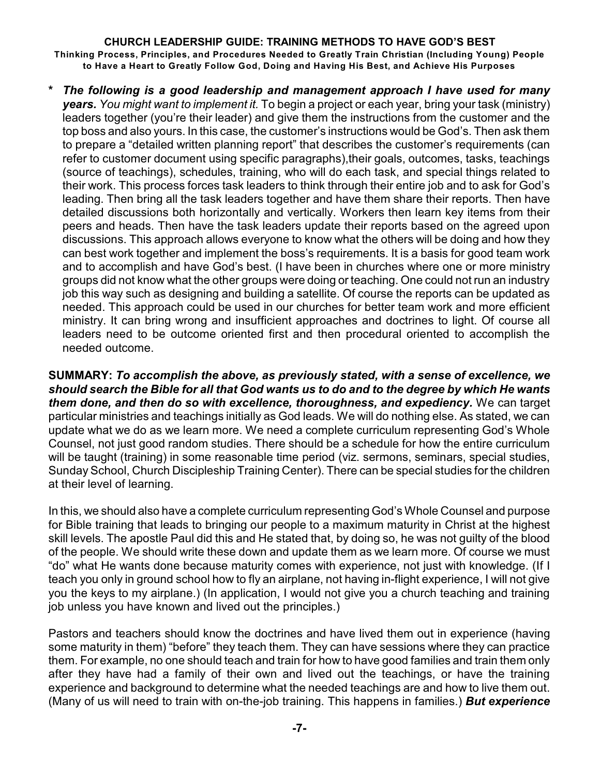**\*** *The following is a good leadership and management approach I have used for many years. You might want to implement it.* To begin a project or each year, bring your task (ministry) leaders together (you're their leader) and give them the instructions from the customer and the top boss and also yours. In this case, the customer's instructions would be God's. Then ask them to prepare a "detailed written planning report" that describes the customer's requirements (can refer to customer document using specific paragraphs),their goals, outcomes, tasks, teachings (source of teachings), schedules, training, who will do each task, and special things related to their work. This process forces task leaders to think through their entire job and to ask for God's leading. Then bring all the task leaders together and have them share their reports. Then have detailed discussions both horizontally and vertically. Workers then learn key items from their peers and heads. Then have the task leaders update their reports based on the agreed upon discussions. This approach allows everyone to know what the others will be doing and how they can best work together and implement the boss's requirements. It is a basis for good team work and to accomplish and have God's best. (I have been in churches where one or more ministry groups did not know what the other groups were doing or teaching. One could not run an industry job this way such as designing and building a satellite. Of course the reports can be updated as needed. This approach could be used in our churches for better team work and more efficient ministry. It can bring wrong and insufficient approaches and doctrines to light. Of course all leaders need to be outcome oriented first and then procedural oriented to accomplish the needed outcome.

**SUMMARY:** *To accomplish the above, as previously stated, with a sense of excellence, we should search the Bible for all that God wants us to do and to the degree by which He wants them done, and then do so with excellence, thoroughness, and expediency.* We can target particular ministries and teachings initially as God leads. We will do nothing else. As stated, we can update what we do as we learn more. We need a complete curriculum representing God's Whole Counsel, not just good random studies. There should be a schedule for how the entire curriculum will be taught (training) in some reasonable time period (viz. sermons, seminars, special studies, Sunday School, Church Discipleship Training Center). There can be special studies for the children at their level of learning.

In this, we should also have a complete curriculum representing God's Whole Counsel and purpose for Bible training that leads to bringing our people to a maximum maturity in Christ at the highest skill levels. The apostle Paul did this and He stated that, by doing so, he was not guilty of the blood of the people. We should write these down and update them as we learn more. Of course we must "do" what He wants done because maturity comes with experience, not just with knowledge. (If I teach you only in ground school how to fly an airplane, not having in-flight experience, I will not give you the keys to my airplane.) (In application, I would not give you a church teaching and training job unless you have known and lived out the principles.)

Pastors and teachers should know the doctrines and have lived them out in experience (having some maturity in them) "before" they teach them. They can have sessions where they can practice them. For example, no one should teach and train for how to have good families and train them only after they have had a family of their own and lived out the teachings, or have the training experience and background to determine what the needed teachings are and how to live them out. (Many of us will need to train with on-the-job training. This happens in families.) *But experience*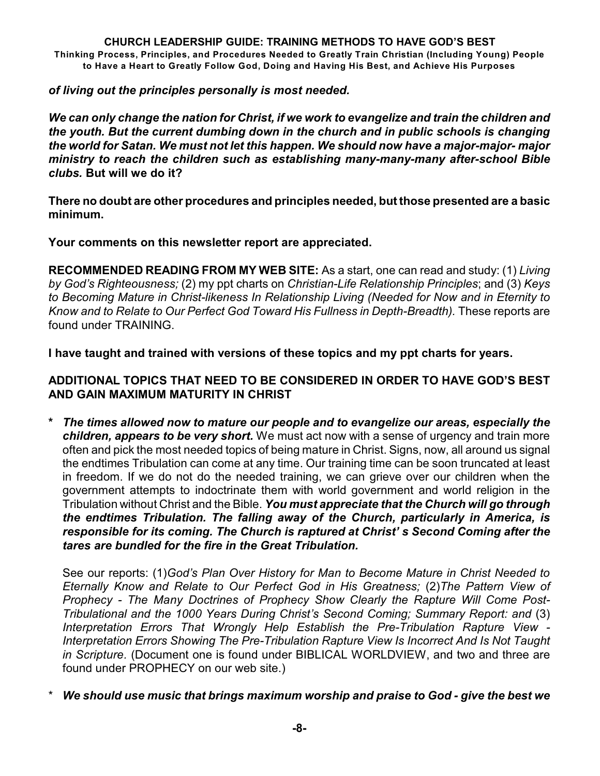# *of living out the principles personally is most needed.*

*We can only change the nation for Christ, if we work to evangelize and train the children and the youth. But the current dumbing down in the church and in public schools is changing the world for Satan. We must not let this happen. We should now have a major-major- major ministry to reach the children such as establishing many-many-many after-school Bible clubs.* **But will we do it?**

**There no doubt are other procedures and principles needed, but those presented are a basic minimum.**

**Your comments on this newsletter report are appreciated.**

**RECOMMENDED READING FROM MY WEB SITE:** As a start, one can read and study: (1) *Living by God's Righteousness;* (2) my ppt charts on *Christian-Life Relationship Principles*; and (3) *Keys to Becoming Mature in Christ-likeness In Relationship Living (Needed for Now and in Eternity to Know and to Relate to Our Perfect God Toward His Fullness in Depth-Breadth).* These reports are found under TRAINING.

**I have taught and trained with versions of these topics and my ppt charts for years.**

# **ADDITIONAL TOPICS THAT NEED TO BE CONSIDERED IN ORDER TO HAVE GOD'S BEST AND GAIN MAXIMUM MATURITY IN CHRIST**

**\*** *The times allowed now to mature our people and to evangelize our areas, especially the children, appears to be very short.* We must act now with a sense of urgency and train more often and pick the most needed topics of being mature in Christ. Signs, now, all around us signal the endtimes Tribulation can come at any time. Our training time can be soon truncated at least in freedom. If we do not do the needed training, we can grieve over our children when the government attempts to indoctrinate them with world government and world religion in the Tribulation without Christ and the Bible. *You must appreciate that the Church will go through the endtimes Tribulation. The falling away of the Church, particularly in America, is responsible for its coming. The Church is raptured at Christ' s Second Coming after the tares are bundled for the fire in the Great Tribulation.*

See our reports: (1)*God's Plan Over History for Man to Become Mature in Christ Needed to Eternally Know and Relate to Our Perfect God in His Greatness;* (2)*The Pattern View of Prophecy - The Many Doctrines of Prophecy Show Clearly the Rapture Will Come Post-Tribulational and the 1000 Years During Christ's Second Coming; Summary Report: and* (3) *Interpretation Errors That Wrongly Help Establish the Pre-Tribulation Rapture View - Interpretation Errors Showing The Pre-Tribulation Rapture View Is Incorrect And Is Not Taught in Scripture.* (Document one is found under BIBLICAL WORLDVIEW, and two and three are found under PROPHECY on our web site.)

\* *We should use music that brings maximum worship and praise to God - give the best we*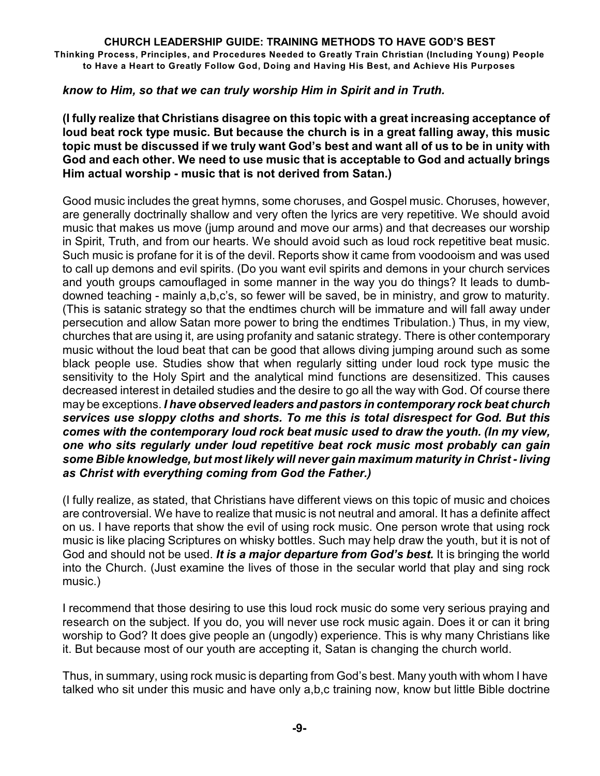# *know to Him, so that we can truly worship Him in Spirit and in Truth.*

**(I fully realize that Christians disagree on this topic with a great increasing acceptance of loud beat rock type music. But because the church is in a great falling away, this music topic must be discussed if we truly want God's best and want all of us to be in unity with God and each other. We need to use music that is acceptable to God and actually brings Him actual worship - music that is not derived from Satan.)**

Good music includes the great hymns, some choruses, and Gospel music. Choruses, however, are generally doctrinally shallow and very often the lyrics are very repetitive. We should avoid music that makes us move (jump around and move our arms) and that decreases our worship in Spirit, Truth, and from our hearts. We should avoid such as loud rock repetitive beat music. Such music is profane for it is of the devil. Reports show it came from voodooism and was used to call up demons and evil spirits. (Do you want evil spirits and demons in your church services and youth groups camouflaged in some manner in the way you do things? It leads to dumbdowned teaching - mainly a,b,c's, so fewer will be saved, be in ministry, and grow to maturity. (This is satanic strategy so that the endtimes church will be immature and will fall away under persecution and allow Satan more power to bring the endtimes Tribulation.) Thus, in my view, churches that are using it, are using profanity and satanic strategy. There is other contemporary music without the loud beat that can be good that allows diving jumping around such as some black people use. Studies show that when regularly sitting under loud rock type music the sensitivity to the Holy Spirt and the analytical mind functions are desensitized. This causes decreased interest in detailed studies and the desire to go all the way with God. Of course there may be exceptions. *I have observed leaders and pastors in contemporary rock beat church services use sloppy cloths and shorts. To me this is total disrespect for God. But this comes with the contemporary loud rock beat music used to draw the youth. (In my view, one who sits regularly under loud repetitive beat rock music most probably can gain some Bible knowledge, but most likely will never gain maximum maturity in Christ - living as Christ with everything coming from God the Father.)*

(I fully realize, as stated, that Christians have different views on this topic of music and choices are controversial. We have to realize that music is not neutral and amoral. It has a definite affect on us. I have reports that show the evil of using rock music. One person wrote that using rock music is like placing Scriptures on whisky bottles. Such may help draw the youth, but it is not of God and should not be used. *It is a major departure from God's best.* It is bringing the world into the Church. (Just examine the lives of those in the secular world that play and sing rock music.)

I recommend that those desiring to use this loud rock music do some very serious praying and research on the subject. If you do, you will never use rock music again. Does it or can it bring worship to God? It does give people an (ungodly) experience. This is why many Christians like it. But because most of our youth are accepting it, Satan is changing the church world.

Thus, in summary, using rock music is departing from God's best. Many youth with whom I have talked who sit under this music and have only a,b,c training now, know but little Bible doctrine